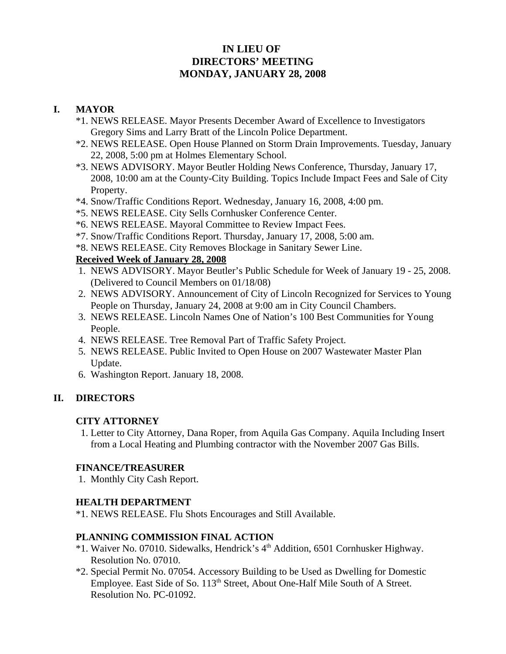# **IN LIEU OF DIRECTORS' MEETING MONDAY, JANUARY 28, 2008**

# **I. MAYOR**

- \*1. NEWS RELEASE. Mayor Presents December Award of Excellence to Investigators Gregory Sims and Larry Bratt of the Lincoln Police Department.
- \*2. NEWS RELEASE. Open House Planned on Storm Drain Improvements. Tuesday, January 22, 2008, 5:00 pm at Holmes Elementary School.
- \*3. NEWS ADVISORY. Mayor Beutler Holding News Conference, Thursday, January 17, 2008, 10:00 am at the County-City Building. Topics Include Impact Fees and Sale of City Property.
- \*4. Snow/Traffic Conditions Report. Wednesday, January 16, 2008, 4:00 pm.
- \*5. NEWS RELEASE. City Sells Cornhusker Conference Center.
- \*6. NEWS RELEASE. Mayoral Committee to Review Impact Fees.
- \*7. Snow/Traffic Conditions Report. Thursday, January 17, 2008, 5:00 am.
- \*8. NEWS RELEASE. City Removes Blockage in Sanitary Sewer Line.

### **Received Week of January 28, 2008**

- 1. NEWS ADVISORY. Mayor Beutler's Public Schedule for Week of January 19 25, 2008. (Delivered to Council Members on 01/18/08)
- 2. NEWS ADVISORY. Announcement of City of Lincoln Recognized for Services to Young People on Thursday, January 24, 2008 at 9:00 am in City Council Chambers.
- 3. NEWS RELEASE. Lincoln Names One of Nation's 100 Best Communities for Young People.
- 4. NEWS RELEASE. Tree Removal Part of Traffic Safety Project.
- 5. NEWS RELEASE. Public Invited to Open House on 2007 Wastewater Master Plan Update.
- 6. Washington Report. January 18, 2008.

# **II. DIRECTORS**

#### **CITY ATTORNEY**

1. Letter to City Attorney, Dana Roper, from Aquila Gas Company. Aquila Including Insert from a Local Heating and Plumbing contractor with the November 2007 Gas Bills.

# **FINANCE/TREASURER**

1. Monthly City Cash Report.

# **HEALTH DEPARTMENT**

\*1. NEWS RELEASE. Flu Shots Encourages and Still Available.

#### **PLANNING COMMISSION FINAL ACTION**

- \*1. Waiver No. 07010. Sidewalks, Hendrick's 4<sup>th</sup> Addition, 6501 Cornhusker Highway. Resolution No. 07010.
- \*2. Special Permit No. 07054. Accessory Building to be Used as Dwelling for Domestic Employee. East Side of So. 113<sup>th</sup> Street, About One-Half Mile South of A Street. Resolution No. PC-01092.